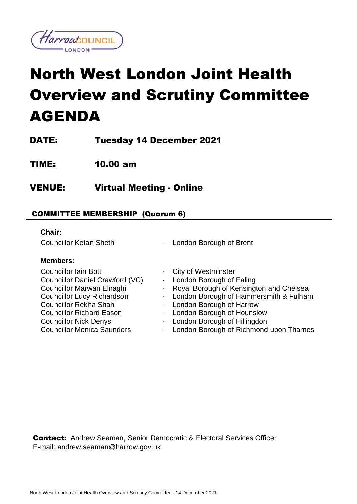

# North West London Joint Health Overview and Scrutiny Committee AGENDA

DATE: Tuesday 14 December 2021

TIME: 10.00 am

VENUE: Virtual Meeting - Online

## COMMITTEE MEMBERSHIP (Quorum 6)

### **Chair:**

Councillor Ketan Sheth - London Borough of Brent

## **Members:**

Councillor Iain Bott **Councillor** Iain Bott **- City of Westminster** Councillor Daniel Crawford (VC) - London Borough of Ealing Councillor Rekha Shah - London Borough of Harrow Councillor Richard Eason Councillor Nick Denys Councillor Monica Saunders

- 
- 
- Councillor Marwan Elnaghi Royal Borough of Kensington and Chelsea
- Councillor Lucy Richardson London Borough of Hammersmith & Fulham
	-
	- London Borough of Hounslow
	- London Borough of Hillingdon
	- London Borough of Richmond upon Thames

Contact:Andrew Seaman, Senior Democratic & Electoral Services Officer E-mail: andrew.seaman@harrow.gov.uk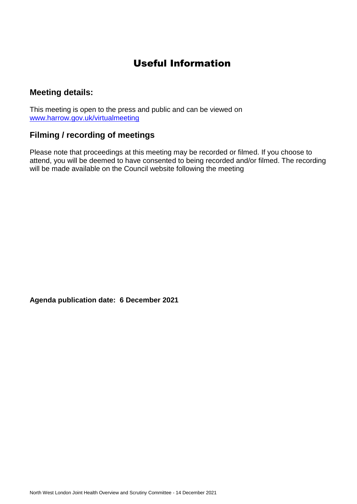# Useful Information

## **Meeting details:**

This meeting is open to the press and public and can be viewed on [www.harrow.gov.uk/virtualmeeting](http://www.harrow.gov.uk/virtualmeeting)

# **Filming / recording of meetings**

Please note that proceedings at this meeting may be recorded or filmed. If you choose to attend, you will be deemed to have consented to being recorded and/or filmed. The recording will be made available on the Council website following the meeting

**Agenda publication date: 6 December 2021**